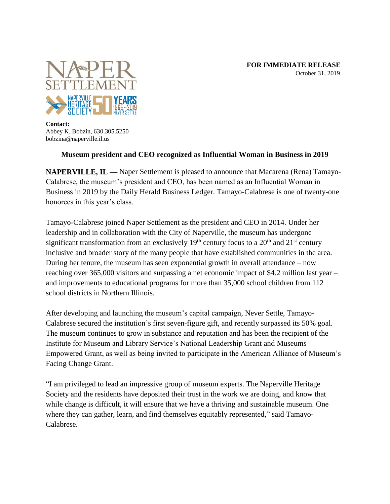

**Contact:** Abbey K. Bobzin, 630.305.5250 bobzina@naperville.il.us

## **Museum president and CEO recognized as Influential Woman in Business in 2019**

**NAPERVILLE, IL —** Naper Settlement is pleased to announce that Macarena (Rena) Tamayo-Calabrese, the museum's president and CEO, has been named as an Influential Woman in Business in 2019 by the Daily Herald Business Ledger. Tamayo-Calabrese is one of twenty-one honorees in this year's class.

Tamayo-Calabrese joined Naper Settlement as the president and CEO in 2014. Under her leadership and in collaboration with the City of Naperville, the museum has undergone significant transformation from an exclusively  $19<sup>th</sup>$  century focus to a  $20<sup>th</sup>$  and  $21<sup>st</sup>$  century inclusive and broader story of the many people that have established communities in the area. During her tenure, the museum has seen exponential growth in overall attendance – now reaching over 365,000 visitors and surpassing a net economic impact of \$4.2 million last year – and improvements to educational programs for more than 35,000 school children from 112 school districts in Northern Illinois.

After developing and launching the museum's capital campaign, Never Settle, Tamayo-Calabrese secured the institution's first seven-figure gift, and recently surpassed its 50% goal. The museum continues to grow in substance and reputation and has been the recipient of the Institute for Museum and Library Service's National Leadership Grant and Museums Empowered Grant, as well as being invited to participate in the American Alliance of Museum's Facing Change Grant.

"I am privileged to lead an impressive group of museum experts. The Naperville Heritage Society and the residents have deposited their trust in the work we are doing, and know that while change is difficult, it will ensure that we have a thriving and sustainable museum. One where they can gather, learn, and find themselves equitably represented," said Tamayo-Calabrese.